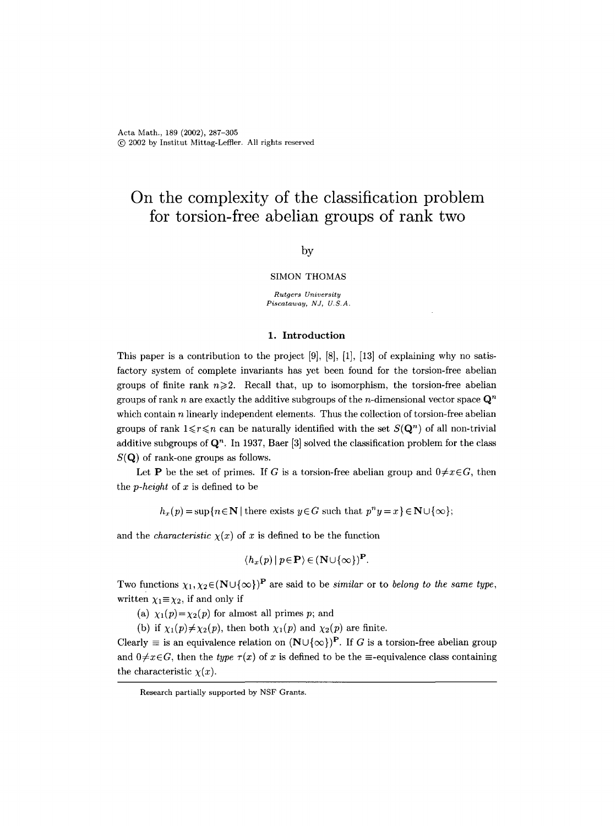# **On the complexity of the classification problem for torsion-free abelian groups of rank two**

# by

#### SIMON THOMAS

*Rutgers University*   $Piscataway, NJ, U.S.A.$ 

## 1. Introduction

This paper is a contribution to the project  $[9]$ ,  $[8]$ ,  $[1]$ ,  $[13]$  of explaining why no satisfactory system of complete invariants has yet been found for the torsion-free abelian groups of finite rank  $n\geqslant 2$ . Recall that, up to isomorphism, the torsion-free abelian groups of rank n are exactly the additive subgroups of the n-dimensional vector space  $\mathbf{Q}^n$ which contain  $n$  linearly independent elements. Thus the collection of torsion-free abelian groups of rank  $1 \le r \le n$  can be naturally identified with the set  $S(\mathbf{Q}^n)$  of all non-trivial additive subgroups of  $\mathbf{Q}^n$ . In 1937, Baer [3] solved the classification problem for the class  $S(Q)$  of rank-one groups as follows.

Let **P** be the set of primes. If G is a torsion-free abelian group and  $0 \neq x \in G$ , then the *p-height* of x is defined to be

 $h_x(p) = \sup\{n \in \mathbb{N} \mid \text{there exists } y \in G \text{ such that } p^n y = x\} \in \mathbb{N} \cup \{\infty\};$ 

and the *characteristic*  $\chi(x)$  of x is defined to be the function

$$
\langle h_x(p) | p \in \mathbf{P} \rangle \in (\mathbf{N} \cup \{\infty\})^{\mathbf{P}}.
$$

Two functions  $\chi_1, \chi_2 \in (N \cup {\infty})^P$  are said to be *similar* or to *belong to the same type*, written  $\chi_1 \equiv \chi_2$ , if and only if

(a)  $\chi_1(p) = \chi_2(p)$  for almost all primes p; and

(b) if  $\chi_1(p) \neq \chi_2(p)$ , then both  $\chi_1(p)$  and  $\chi_2(p)$  are finite.

Clearly  $\equiv$  is an equivalence relation on  $(N \cup \{\infty\})^P$ . If G is a torsion-free abelian group and  $0 \neq x \in G$ , then the *type*  $\tau(x)$  of x is defined to be the  $\equiv$ -equivalence class containing the characteristic  $\chi(x)$ .

Research partially supported by NSF Grants.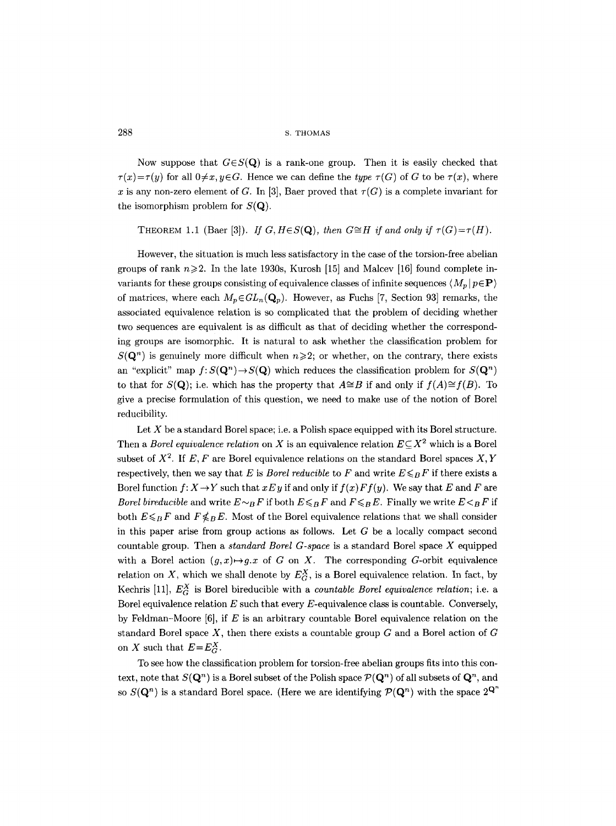Now suppose that  $G \in S(Q)$  is a rank-one group. Then it is easily checked that  $\tau(x)=\tau(y)$  for all  $0\neq x, y\in G$ . Hence we can define the *type*  $\tau(G)$  of G to be  $\tau(x)$ , where x is any non-zero element of G. In [3], Baer proved that  $\tau(G)$  is a complete invariant for the isomorphism problem for  $S(\mathbf{Q})$ .

# THEOREM 1.1 (Baer [3]). *If G, H* $\in$ *S*(**Q**), then  $G \cong H$  if and only if  $\tau(G) = \tau(H)$ .

However, the situation is much less satisfactory in the case of the torsion-free abelian groups of rank  $n\geqslant 2$ . In the late 1930s, Kurosh [15] and Malcev [16] found complete invariants for these groups consisting of equivalence classes of infinite sequences  $\langle M_n | p \in \mathbf{P} \rangle$ of matrices, where each  $M_p \in GL_n(\mathbf{Q}_p)$ . However, as Fuchs [7, Section 93] remarks, the associated equivalence relation is so complicated that the problem of deciding whether two sequences are equivalent is as difficult as that of deciding whether the corresponding groups are isomorphic. It is natural to ask whether the classification problem for  $S(\mathbf{Q}^n)$  is genuinely more difficult when  $n\geqslant 2$ ; or whether, on the contrary, there exists an "explicit" map  $f: S(\mathbf{Q}^n) \to S(\mathbf{Q})$  which reduces the classification problem for  $S(\mathbf{Q}^n)$ to that for  $S(\mathbf{Q})$ ; i.e. which has the property that  $A \cong B$  if and only if  $f(A) \cong f(B)$ . To give a precise formulation of this question, we need to make use of the notion of Borel reducibility.

Let  $X$  be a standard Borel space; i.e. a Polish space equipped with its Borel structure. Then a *Borel equivalence relation* on X is an equivalence relation  $E \subseteq X^2$  which is a Borel subset of  $X^2$ . If E, F are Borel equivalence relations on the standard Borel spaces X, Y respectively, then we say that E is *Borel reducible* to F and write  $E \leq_B F$  if there exists a Borel function  $f: X \to Y$  such that  $x E y$  if and only if  $f(x) F f(y)$ . We say that E and F are *Borel bireducible* and write  $E \sim_B F$  if both  $E \leq_B F$  and  $F \leq_B E$ . Finally we write  $E \leq_B F$  if both  $E \leq_B F$  and  $F \not\leq_B E$ . Most of the Borel equivalence relations that we shall consider in this paper arise from group actions as follows. Let  $G$  be a locally compact second countable group. Then a *standard Borel G-space* is a standard Borel space X equipped with a Borel action  $(g, x) \mapsto g \cdot x$  of G on X. The corresponding G-orbit equivalence relation on X, which we shall denote by  $E_G^X$ , is a Borel equivalence relation. In fact, by Kechris [11],  $E_G^X$  is Borel bireducible with a *countable Borel equivalence relation*; i.e. a Borel equivalence relation  $E$  such that every  $E$ -equivalence class is countable. Conversely, by Feldman-Moore  $[6]$ , if E is an arbitrary countable Borel equivalence relation on the standard Borel space  $X$ , then there exists a countable group  $G$  and a Borel action of  $G$ on X such that  $E=E_C^X$ .

To see how the classification problem for torsion-free abelian groups fits into this context, note that  $S(\mathbf{Q}^n)$  is a Borel subset of the Polish space  $\mathcal{P}(\mathbf{Q}^n)$  of all subsets of  $\mathbf{Q}^n$ , and so  $S(\mathbf{Q}^n)$  is a standard Borel space. (Here we are identifying  $\mathcal{P}(\mathbf{Q}^n)$  with the space  $2^{\mathbf{Q}^n}$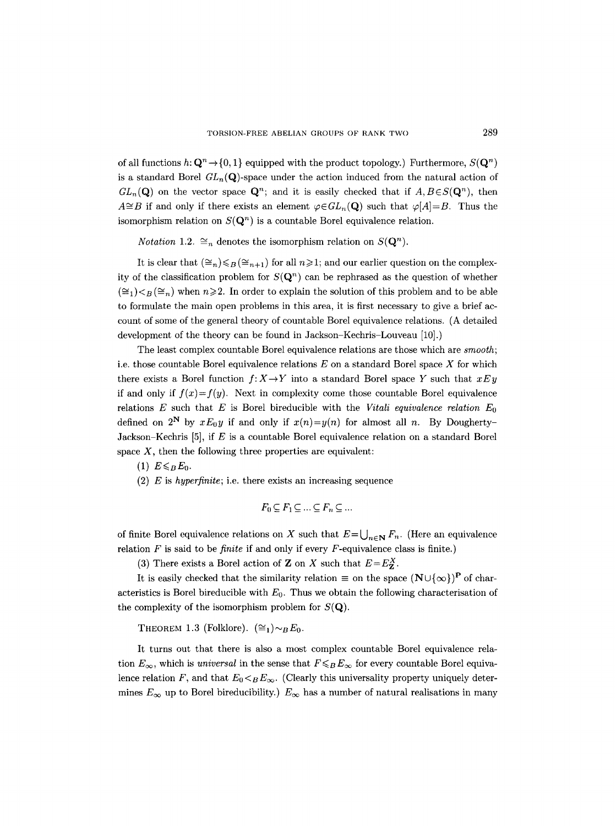of all functions  $h: \mathbf{Q}^n \to \{0, 1\}$  equipped with the product topology.) Furthermore,  $S(\mathbf{Q}^n)$ is a standard Borel  $GL_n(Q)$ -space under the action induced from the natural action of  $GL_n(\mathbf{Q})$  on the vector space  $\mathbf{Q}^n$ ; and it is easily checked that if  $A, B \in S(\mathbf{Q}^n)$ , then  $A\cong B$  if and only if there exists an element  $\varphi \in GL_n(Q)$  such that  $\varphi[A]=B$ . Thus the isomorphism relation on  $S(\mathbf{Q}^n)$  is a countable Borel equivalence relation.

*Notation* 1.2.  $\cong_n$  denotes the isomorphism relation on  $S(\mathbf{Q}^n)$ .

It is clear that  $(\leq_n)\leq_B (\leq_{n+1})$  for all  $n\geq 1$ ; and our earlier question on the complexity of the classification problem for  $S(\mathbf{Q}^n)$  can be rephrased as the question of whether  $(\cong_1)_{\leq B} (\cong_n)$  when  $n \geqslant 2$ . In order to explain the solution of this problem and to be able to formulate the main open problems in this area, it is first necessary to give a brief account of some of the general theory of countable Borel equivalence relations. (A detailed development of the theory can be found in Jackson-Kechris-Louveau [10].)

The least complex countable Borel equivalence relations are those which are *smooth;*  i.e. those countable Borel equivalence relations  $E$  on a standard Borel space  $X$  for which there exists a Borel function  $f: X \to Y$  into a standard Borel space Y such that  $x E y$ if and only if  $f(x)=f(y)$ . Next in complexity come those countable Borel equivalence relations E such that E is Borel bireducible with the *Vitali equivalence relation Eo*  defined on 2<sup>N</sup> by  $xE_0y$  if and only if  $x(n)=y(n)$  for almost all n. By Dougherty-Jackson-Kechris  $[5]$ , if E is a countable Borel equivalence relation on a standard Borel space  $X$ , then the following three properties are equivalent:

 $(1)$   $E \leq B E_0$ .

(2) E is *hyperfinite;* i.e. there exists an increasing sequence

$$
F_0 \subseteq F_1 \subseteq \ldots \subseteq F_n \subseteq \ldots
$$

of finite Borel equivalence relations on X such that  $E=\bigcup_{n\in\mathbb{N}} F_n$ . (Here an equivalence relation  $F$  is said to be *finite* if and only if every  $F$ -equivalence class is finite.)

(3) There exists a Borel action of **Z** on X such that  $E=E_7^X$ .

It is easily checked that the similarity relation  $\equiv$  on the space  $(N \cup \{\infty\})^{\mathbf{P}}$  of characteristics is Borel bireducible with  $E_0$ . Thus we obtain the following characterisation of the complexity of the isomorphism problem for  $S(\mathbf{Q})$ .

THEOREM 1.3 (Folklore).  $(\cong_1) \sim_B E_0$ .

It turns out that there is also a most complex countable Borel equivalence relation  $E_{\infty}$ , which is *universal* in the sense that  $F \leq_B E_{\infty}$  for every countable Borel equivalence relation F, and that  $E_0 \lt_B E_\infty$ . (Clearly this universality property uniquely determines  $E_{\infty}$  up to Borel bireducibility.)  $E_{\infty}$  has a number of natural realisations in many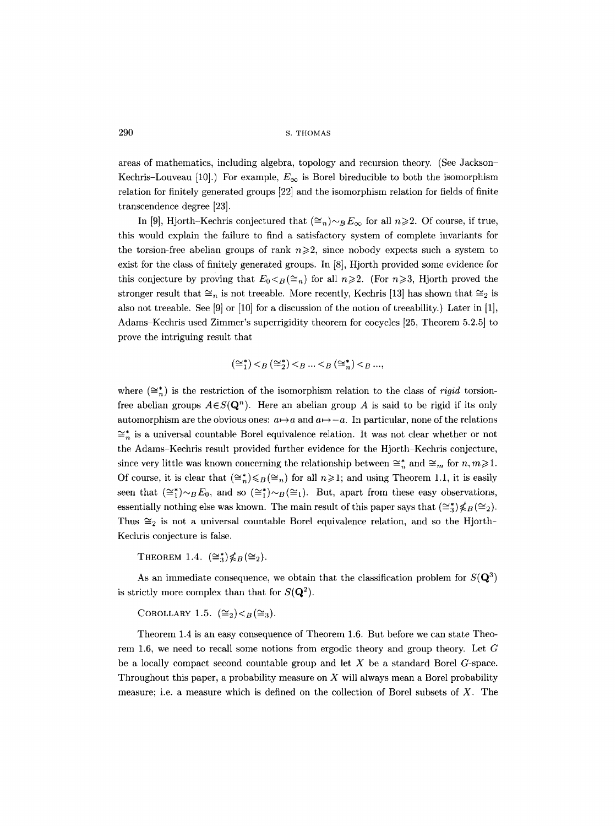areas of mathematics, including algebra, topology and recursion theory. (See Jackson Kechris-Louveau [10].) For example,  $E_{\infty}$  is Borel bireducible to both the isomorphism relation for finitely generated groups [22] and the isomorphism relation for fields of finite transcendence degree [23].

In [9], Hjorth-Kechris conjectured that  $(\cong_n)_{\sim B}E_\infty$  for all  $n\geqslant 2$ . Of course, if true, this would explain the failure to find a satisfactory system of complete invariants for the torsion-free abelian groups of rank  $n\geqslant 2$ , since nobody expects such a system to exist for the class of finitely generated groups. In [8], Hjorth provided some evidence for this conjecture by proving that  $E_0 \leq_B (\cong_n)$  for all  $n \geq 2$ . (For  $n \geq 3$ , Hjorth proved the stronger result that  $\cong_n$  is not treeable. More recently, Kechris [13] has shown that  $\cong_2$  is also not treeable. See [9] or [10] for a discussion of the notion of treeability.) Later in [1], Adams-Kechris used Zimmer's superrigidity theorem for cocycles [25, Theorem 5.2.5] to prove the intriguing result that

$$
(\cong_1^*) <_B (\cong_2^*) <_B \ldots <_B (\cong_n^*) <_B \ldots,
$$

where  $(\cong_{n}^{*})$  is the restriction of the isomorphism relation to the class of *rigid* torsionfree abelian groups  $A \in S(\mathbf{Q}^n)$ . Here an abelian group A is said to be rigid if its only automorphism are the obvious ones:  $a \rightarrow a$  and  $a \rightarrow -a$ . In particular, none of the relations  $\cong_{n}^{*}$  is a universal countable Borel equivalence relation. It was not clear whether or not the Adams-Kechris result provided further evidence for the Hjorth-Kechris conjecture, since very little was known concerning the relationship between  $\cong_n^*$  and  $\cong_m$  for  $n, m \geq 1$ . Of course, it is clear that  $(\leq_n^*) \leq_B (\leq_n)$  for all  $n \geq 1$ ; and using Theorem 1.1, it is easily seen that  $(\cong_{1}^{*})_{\sim}B E_{0}$ , and so  $(\cong_{1}^{*})_{\sim}B (\cong_{1})$ . But, apart from these easy observations, essentially nothing else was known. The main result of this paper says that  $(\cong_{3}^{*})\nleq B (\cong_{2}).$ Thus  $\cong_2$  is not a universal countable Borel equivalence relation, and so the Hjorth-Kechris conjecture is false.

THEOREM 1.4.  $(\cong_{3}^{*})\nleq B(\cong_{2}).$ 

As an immediate consequence, we obtain that the classification problem for  $S(\mathbf{Q}^3)$ is strictly more complex than that for  $S(\mathbf{Q}^2)$ .

COROLLARY 1.5.  $(\cong_2) < B(\cong_3)$ .

Theorem 1.4 is an easy consequence of Theorem 1.6. But before we can state Theorem 1.6, we need to recall some notions from ergodic theory and group theory. Let G be a locally compact second countable group and let  $X$  be a standard Borel  $G$ -space. Throughout this paper, a probability measure on  $X$  will always mean a Borel probability measure; i.e. a measure which is defined on the collection of Borel subsets of X. The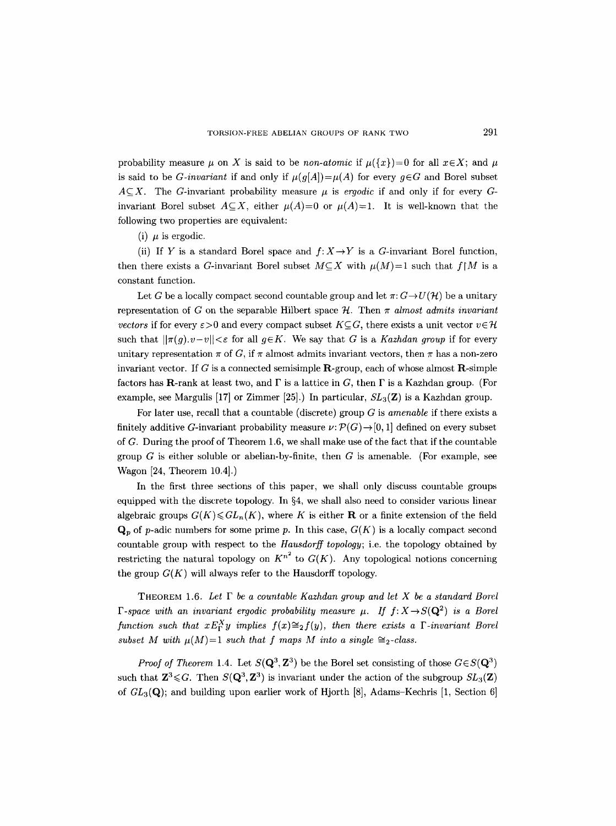probability measure  $\mu$  on X is said to be *non-atomic* if  $\mu({x})=0$  for all  $x \in X$ ; and  $\mu$ is said to be *G*-invariant if and only if  $\mu(g[A]) = \mu(A)$  for every  $g \in G$  and Borel subset  $A \subseteq X$ . The G-invariant probability measure  $\mu$  is *ergodic* if and only if for every Ginvariant Borel subset  $A \subseteq X$ , either  $\mu(A)=0$  or  $\mu(A)=1$ . It is well-known that the following two properties are equivalent:

(i)  $\mu$  is ergodic.

(ii) If Y is a standard Borel space and  $f: X \rightarrow Y$  is a G-invariant Borel function, then there exists a G-invariant Borel subset  $M\subseteq X$  with  $\mu(M)=1$  such that  $f[M]$  is a constant function.

Let G be a locally compact second countable group and let  $\pi: G \to U(\mathcal{H})$  be a unitary representation of G on the separable Hilbert space  $H$ . Then  $\pi$  *almost admits invariant vectors* if for every  $\varepsilon > 0$  and every compact subset  $K \subseteq G$ , there exists a unit vector  $v \in H$ such that  $||\pi(q), v-v|| < \varepsilon$  for all  $q \in K$ . We say that G is a *Kazhdan group* if for every unitary representation  $\pi$  of G, if  $\pi$  almost admits invariant vectors, then  $\pi$  has a non-zero invariant vector. If G is a connected semisimple  $\mathbf{R}$ -group, each of whose almost  $\mathbf{R}$ -simple factors has **R**-rank at least two, and  $\Gamma$  is a lattice in G, then  $\Gamma$  is a Kazhdan group. (For example, see Margulis [17] or Zimmer [25].) In particular,  $SL_3(\mathbb{Z})$  is a Kazhdan group.

For later use, recall that a countable (discrete) group G is *amenable* if there exists a finitely additive G-invariant probability measure  $\nu: \mathcal{P}(G) \to [0, 1]$  defined on every subset of  $G$ . During the proof of Theorem 1.6, we shall make use of the fact that if the countable group  $G$  is either soluble or abelian-by-finite, then  $G$  is amenable. (For example, see Wagon [24, Theorem 10.4].)

In the first three sections of this paper, we shall only discuss countable groups equipped with the discrete topology. In  $\S 4$ , we shall also need to consider various linear algebraic groups  $G(K) \leq GL_n(K)$ , where K is either **R** or a finite extension of the field  $\mathbf{Q}_p$  of p-adic numbers for some prime p. In this case,  $G(K)$  is a locally compact second countable group with respect to the *Hausdorff topology;* i.e. the topology obtained by restricting the natural topology on  $K^{n^2}$  to  $G(K)$ . Any topological notions concerning the group  $G(K)$  will always refer to the Hausdorff topology.

THEOREM 1.6. Let  $\Gamma$  be a countable Kazhdan group and let X be a standard Borel *F-space with an invariant ergodic probability measure*  $\mu$ *. If*  $f: X \rightarrow S(Q^2)$  *is a Borel function such that*  $x E_Y^X y$  *implies*  $f(x) \cong_2 f(y)$ *, then there exists a*  $\Gamma$ *-invariant Borel subset M with*  $\mu(M)=1$  *such that f maps M into a single*  $\cong$ <sub>2</sub>-class.

*Proof of Theorem 1.4.* Let  $S(Q^3, \mathbb{Z}^3)$  be the Borel set consisting of those  $G \in S(Q^3)$ such that  $\mathbf{Z}^3 \leqslant G$ . Then  $S(\mathbf{Q}^3, \mathbf{Z}^3)$  is invariant under the action of the subgroup  $SL_3(\mathbf{Z})$ of  $GL_3(\mathbf{Q})$ ; and building upon earlier work of Hjorth [8], Adams-Kechris [1, Section 6]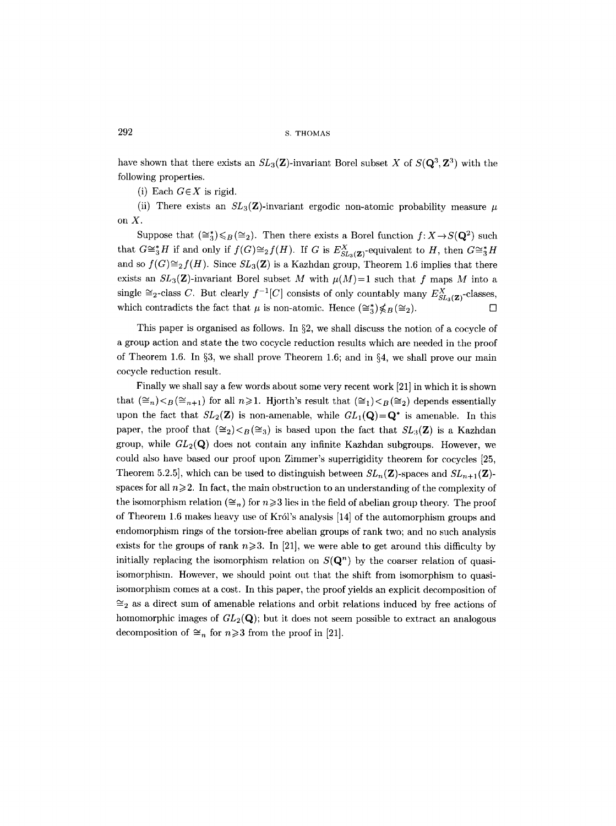have shown that there exists an  $SL_3(\mathbf{Z})$ -invariant Borel subset X of  $S(\mathbf{Q}^3, \mathbf{Z}^3)$  with the following properties.

(i) Each  $G \in X$  is rigid.

(ii) There exists an  $SL_3(\mathbb{Z})$ -invariant ergodic non-atomic probability measure  $\mu$ on X.

Suppose that  $(\cong_{3}^{*})\leq B(\cong_{2})$ . Then there exists a Borel function  $f: X\rightarrow S(\mathbf{Q}^{2})$  such that  $G\cong^*_3H$  if and only if  $f(G)\cong_2f(H)$ . If G is  $E_{SL_3(\mathbf{Z})}^X$ -equivalent to H, then  $G\cong^*_3H$ and so  $f(G) \cong_2 f(H)$ . Since  $SL_3(\mathbb{Z})$  is a Kazhdan group, Theorem 1.6 implies that there exists an  $SL_3(\mathbf{Z})$ -invariant Borel subset M with  $\mu(M)=1$  such that f maps M into a single  $\cong_2$ -class C. But clearly  $f^{-1}[C]$  consists of only countably many  $E_{SL_3(\mathbf{Z})}^X$ -classes, which contradicts the fact that  $\mu$  is non-atomic. Hence  $(\cong_{3}^{*})\nleq B(\cong_{2})$ .

This paper is organised as follows. In  $\S2$ , we shall discuss the notion of a cocycle of a group action and state the two cocycle reduction results which are needed in the proof of Theorem 1.6. In  $\S3$ , we shall prove Theorem 1.6; and in  $\S4$ , we shall prove our main cocycle reduction result.

Finally we shall say a few words about some very recent work [21] in which it is shown that  $(\cong_n)_{\leq B}(\cong_{n+1})$  for all  $n\geqslant1$ . Hjorth's result that  $(\cong_1)_{\leq B}(\cong_2)$  depends essentially upon the fact that  $SL_2(\mathbf{Z})$  is non-amenable, while  $GL_1(\mathbf{Q})=\mathbf{Q}^*$  is amenable. In this paper, the proof that  $(\cong_2) <_B (\cong_3)$  is based upon the fact that  $SL_3(\mathbb{Z})$  is a Kazhdan group, while  $GL_2(\mathbf{Q})$  does not contain any infinite Kazhdan subgroups. However, we could also have based our proof upon Zimmer's superrigidity theorem for cocycles [25, Theorem 5.2.5], which can be used to distinguish between  $SL_n(\mathbf{Z})$ -spaces and  $SL_{n+1}(\mathbf{Z})$ spaces for all  $n\geqslant 2$ . In fact, the main obstruction to an understanding of the complexity of the isomorphism relation ( $\leq_n$ ) for  $n \geqslant 3$  lies in the field of abelian group theory. The proof of Theorem 1.6 makes heavy use of Krdl's analysis [14] of the automorphism groups and endomorphism rings of the torsion-free abelian groups of rank two; and no such analysis exists for the groups of rank  $n \ge 3$ . In [21], we were able to get around this difficulty by initially replacing the isomorphism relation on  $S(\mathbf{Q}^n)$  by the coarser relation of quasiisomorphism. However, we should point out that the shift from isomorphism to quasiisomorphism comes at a cost. In this paper, the proof yields an explicit decomposition of  $\cong_2$  as a direct sum of amenable relations and orbit relations induced by free actions of homomorphic images of  $GL_2(\mathbf{Q})$ ; but it does not seem possible to extract an analogous decomposition of  $\cong_n$  for  $n\geqslant 3$  from the proof in [21].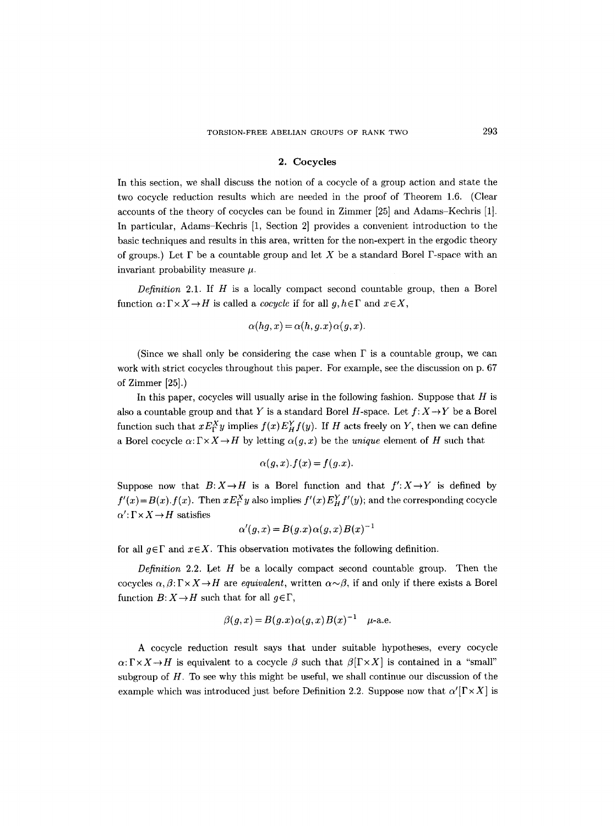#### **2. Cocycles**

In this section, we shall discuss the notion of a cocycle of a group action and state the two cocycle reduction results which are needed in the proof of Theorem 1.6. (Clear accounts of the theory of cocycles can be found in Zimmer [25] and Adams-Kechris [1]. In particular, Adams-Kechris [1, Section 2] provides a convenient introduction to the basic techniques and results in this area, written for the non-expert in the ergodic theory of groups.) Let  $\Gamma$  be a countable group and let X be a standard Borel  $\Gamma$ -space with an invariant probability measure  $\mu$ .

*Definition* 2.1. If H is a locally compact second countable group, then a Borel function  $\alpha: \Gamma \times X \to H$  is called a *cocycle* if for all  $g, h \in \Gamma$  and  $x \in X$ ,

$$
\alpha(hg, x) = \alpha(h, g.x)\alpha(g, x).
$$

(Since we shall only be considering the case when  $\Gamma$  is a countable group, we can work with strict cocycles throughout this paper. For example, see the discussion on p. 67 of Zimmer [25].)

In this paper, cocycles will usually arise in the following fashion. Suppose that  $H$  is also a countable group and that Y is a standard Borel H-space. Let  $f: X \rightarrow Y$  be a Borel function such that  $x E_Y^X y$  implies  $f(x) E_H^Y f(y)$ . If H acts freely on Y, then we can define a Borel cocycle  $\alpha: \Gamma \times X \to H$  by letting  $\alpha(g, x)$  be the *unique* element of H such that

$$
\alpha(g,x).f(x) = f(g.x).
$$

Suppose now that  $B: X \to H$  is a Borel function and that  $f': X \to Y$  is defined by  $f'(x) = B(x) \cdot f(x)$ . Then  $x E_F^X y$  also implies  $f'(x) E_H^Y f'(y)$ ; and the corresponding cocycle  $\alpha'$ :  $\Gamma \times X \rightarrow H$  satisfies

$$
\alpha'(g, x) = B(g, x) \alpha(g, x) B(x)^{-1}
$$

for all  $g \in \Gamma$  and  $x \in X$ . This observation motivates the following definition.

*Definition* 2.2. Let  $H$  be a locally compact second countable group. Then the cocycles  $\alpha, \beta : \Gamma \times X \to H$  are *equivalent*, written  $\alpha \sim \beta$ , if and only if there exists a Borel function  $B: X \to H$  such that for all  $q \in \Gamma$ ,

$$
\beta(g, x) = B(g, x)\alpha(g, x)B(x)^{-1} \quad \mu\text{-a.e.}
$$

A cocycle reduction result says that under suitable hypotheses, every cocycle  $\alpha: \Gamma \times X \to H$  is equivalent to a cocycle  $\beta$  such that  $\beta[\Gamma \times X]$  is contained in a "small" subgroup of  $H$ . To see why this might be useful, we shall continue our discussion of the example which was introduced just before Definition 2.2. Suppose now that  $\alpha'[\Gamma \times X]$  is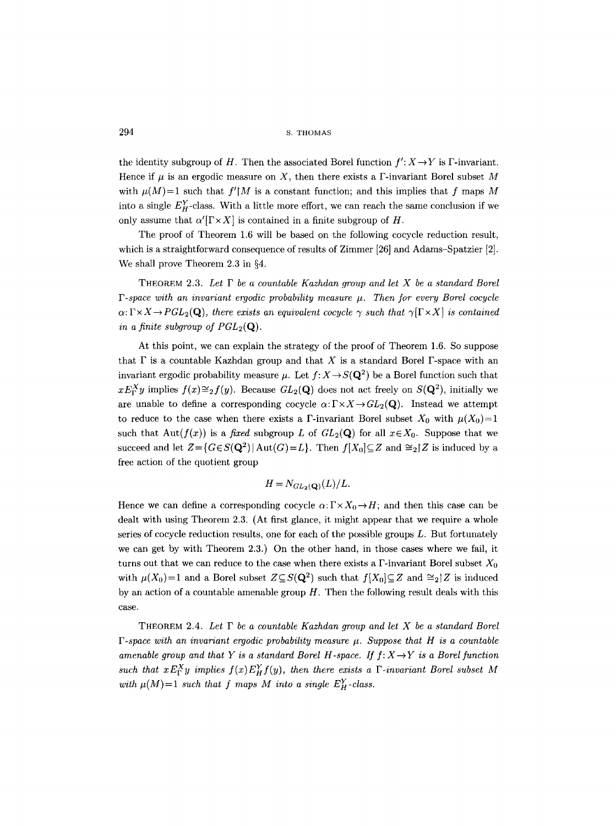the identity subgroup of H. Then the associated Borel function  $f': X \rightarrow Y$  is F-invariant. Hence if  $\mu$  is an ergodic measure on X, then there exists a F-invariant Borel subset M with  $\mu(M)=1$  such that  $f'M$  is a constant function; and this implies that f maps M into a single  $E_{H}^{Y}$ -class. With a little more effort, we can reach the same conclusion if we only assume that  $\alpha'[\Gamma \times X]$  is contained in a finite subgroup of H.

The proof of Theorem 1.6 will be based on the following cocycle reduction result, which is a straightforward consequence of results of Zimmer [26] and Adams-Spatzier [2]. We shall prove Theorem 2.3 in  $\S4$ .

THEOREM 2.3. Let  $\Gamma$  be a countable Kazhdan group and let X be a standard Borel  $\Gamma$ -space with an invariant ergodic probability measure  $\mu$ . Then for every Borel cocycle  $\alpha: \Gamma \times X \to PGL_2(Q)$ , there exists an equivalent cocycle  $\gamma$  such that  $\gamma[\Gamma \times X]$  is contained *in a finite subgroup of*  $PGL_2(\mathbf{Q})$ *.* 

At this point, we can explain the strategy of the proof of Theorem 1.6. So suppose that  $\Gamma$  is a countable Kazhdan group and that X is a standard Borel  $\Gamma$ -space with an invariant ergodic probability measure  $\mu$ . Let  $f: X \to S(\mathbf{Q}^2)$  be a Borel function such that  $xE_Y^X$ y implies  $f(x) \cong_2 f(y)$ . Because  $GL_2(\mathbf{Q})$  does not act freely on  $S(\mathbf{Q}^2)$ , initially we are unable to define a corresponding cocycle  $\alpha: \Gamma \times X \to GL_2(Q)$ . Instead we attempt to reduce to the case when there exists a F-invariant Borel subset  $X_0$  with  $\mu(X_0)=1$ such that Aut( $f(x)$ ) is a *fixed* subgroup L of  $GL_2(\mathbf{Q})$  for all  $x \in X_0$ . Suppose that we succeed and let  $Z = {G \in S(\mathbf{Q}^2) | \text{Aut}(G) = L}.$  Then  $f[X_0] \subseteq Z$  and  $\cong_2[Z]$  is induced by a free action of the quotient group

$$
H = N_{GL_2(\mathbf{Q})}(L)/L.
$$

Hence we can define a corresponding cocycle  $\alpha: \Gamma \times X_0 \to H$ ; and then this case can be dealt with using Theorem 2.3. (At first glance, it might appear that we require a whole series of cocycle reduction results, one for each of the possible groups  $L$ . But fortunately we can get by with Theorem 2.3.) On the other hand, in those cases where we fail, it turns out that we can reduce to the case when there exists a  $\Gamma$ -invariant Borel subset  $X_0$ with  $\mu(X_0)=1$  and a Borel subset  $Z\subseteq S(\mathbf{Q}^2)$  such that  $f[X_0]\subseteq Z$  and  $\cong_2 Z$  is induced by an action of a countable amenable group  $H$ . Then the following result deals with this case.

THEOREM 2.4. *Let F be a countable Kazhdan group and let X be a standard Borel*   $\Gamma$ -space with an invariant ergodic probability measure  $\mu$ . Suppose that H is a countable amenable group and that Y is a standard Borel H-space. If  $f: X \rightarrow Y$  is a Borel function *such that*  $x E_Y^X y$  *implies*  $f(x) E_H^Y f(y)$ *, then there exists a*  $\Gamma$ *-invariant Borel subset M* with  $\mu(M)=1$  *such that f maps M into a single E<sub>H</sub>-class.*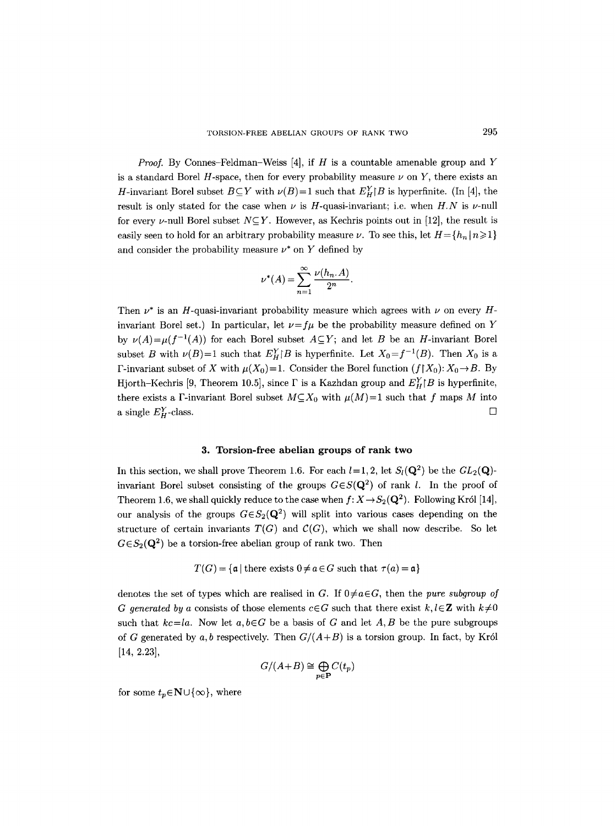*Proof.* By Connes-Feldman-Weiss [4], if H is a countable amenable group and Y is a standard Borel  $H$ -space, then for every probability measure  $\nu$  on  $Y$ , there exists an *H*-invariant Borel subset  $B\subseteq Y$  with  $\nu(B)=1$  such that  $E^Y_H[B]$  is hyperfinite. (In [4], the result is only stated for the case when  $\nu$  is H-quasi-invariant; i.e. when  $H.N$  is  $\nu$ -null for every v-null Borel subset  $N\subseteq Y$ . However, as Kechris points out in [12], the result is easily seen to hold for an arbitrary probability measure  $\nu$ . To see this, let  $H = \{h_n | n \geq 1\}$ and consider the probability measure  $\nu^*$  on Y defined by

$$
\nu^*(A) = \sum_{n=1}^{\infty} \frac{\nu(h_n, A)}{2^n}.
$$

Then  $\nu^*$  is an H-quasi-invariant probability measure which agrees with  $\nu$  on every Hinvariant Borel set.) In particular, let  $\nu = f\mu$  be the probability measure defined on Y by  $\nu(A) = \mu(f^{-1}(A))$  for each Borel subset  $A \subseteq Y$ ; and let B be an H-invariant Borel subset B with  $\nu(B)=1$  such that  $E_H^Y/B$  is hyperfinite. Let  $X_0 = f^{-1}(B)$ . Then  $X_0$  is a F-invariant subset of X with  $\mu(X_0)=1$ . Consider the Borel function  $(f|X_0): X_0 \to B$ . By Hjorth-Kechris [9, Theorem 10.5], since  $\Gamma$  is a Kazhdan group and  $E_H^Y/B$  is hyperfinite, there exists a F-invariant Borel subset  $M\subseteq X_0$  with  $\mu(M)=1$  such that f maps M into a single  $E_H^Y$ -class.  $\square$ 

## **3. Torsion-free abelian groups of rank two**

In this section, we shall prove Theorem 1.6. For each  $l=1, 2$ , let  $S_l(\mathbf{Q}^2)$  be the  $GL_2(\mathbf{Q})$ invariant Borel subset consisting of the groups  $G \in S(\mathbf{Q}^2)$  of rank l. In the proof of Theorem 1.6, we shall quickly reduce to the case when  $f: X \to S_2(Q^2)$ . Following Król [14], our analysis of the groups  $G \in S_2(Q^2)$  will split into various cases depending on the structure of certain invariants  $T(G)$  and  $C(G)$ , which we shall now describe. So let  $G \in S_2(Q^2)$  be a torsion-free abelian group of rank two. Then

$$
T(G) = \{a \mid \text{there exists } 0 \neq a \in G \text{ such that } \tau(a) = a\}
$$

denotes the set of types which are realised in G. If  $0 \neq a \in G$ , then the *pure subgroup of G* generated by a consists of those elements  $c \in G$  such that there exist  $k, l \in \mathbb{Z}$  with  $k \neq 0$ such that  $kc = la$ . Now let  $a, b \in G$  be a basis of G and let A, B be the pure subgroups of G generated by a, b respectively. Then  $G/(A+B)$  is a torsion group. In fact, by Król [14, 2.23],

$$
G/(A+B) \cong \bigoplus_{p \in \mathbf{P}} C(t_p)
$$

for some  $t_p \in \mathbb{N} \cup \{\infty\}$ , where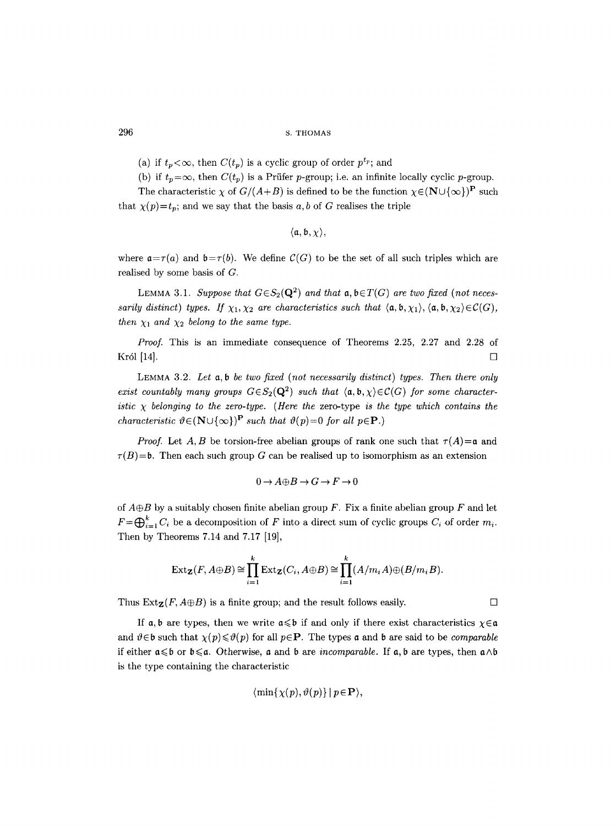- (a) if  $t_p < \infty$ , then  $C(t_p)$  is a cyclic group of order  $p^{t_p}$ ; and
- (b) if  $t_p = \infty$ , then  $C(t_p)$  is a Prüfer p-group; i.e. an infinite locally cyclic p-group.

The characteristic  $\chi$  of  $G/(A+B)$  is defined to be the function  $\chi \in (N \cup \{\infty\})^{\mathbf{P}}$  such that  $\chi(p)=t_p$ ; and we say that the basis a, b of G realises the triple

$$
\langle \mathfrak{a}, \mathfrak{b}, \chi \rangle,
$$

where  $a = \tau(a)$  and  $b = \tau(b)$ . We define  $C(G)$  to be the set of all such triples which are realised by some basis of G.

LEMMA 3.1. *Suppose that*  $G \in S_2(Q^2)$  *and that*  $\mathfrak{a}, \mathfrak{b} \in T(G)$  *are two fixed (not necessarily distinct) types. If*  $\chi_1, \chi_2$  *are characteristics such that*  $\langle a, b, \chi_1 \rangle$ ,  $\langle a, b, \chi_2 \rangle \in \mathcal{C}(G)$ , *then*  $\chi_1$  *and*  $\chi_2$  *belong to the same type.* 

*Proof.* This is an immediate consequence of Theorems 2.25, 2.27 and 2.28 of  $\rm Kr$ ól [14].  $\Box$ 

LEMMA 3.2. *Let a, b be two fixed (not necessarily distinct) types. Then there only exist countably many groups*  $G \in S_2(Q^2)$  *such that*  $\langle a, b, \chi \rangle \in C(G)$  for some character*istic*  $\chi$  belonging to the zero-type. (Here the zero-type *is the type which contains the characteristic*  $\vartheta \in (N \cup \{\infty\})^{\mathbf{P}}$  *such that*  $\vartheta(p)=0$  *for all*  $p \in \mathbf{P}$ .)

*Proof.* Let A, B be torsion-free abelian groups of rank one such that  $\tau(A) = a$  and  $\tau(B)=b$ . Then each such group G can be realised up to isomorphism as an extension

$$
0\to A{\oplus} B\to G\to F\to 0
$$

of  $A \oplus B$  by a suitably chosen finite abelian group F. Fix a finite abelian group F and let  $F=\bigoplus_{i=1}^k C_i$  be a decomposition of F into a direct sum of cyclic groups  $C_i$  of order  $m_i$ . Then by Theorems 7.14 and 7.17 [19],

$$
\operatorname{Ext}_{\mathbf{Z}}(F, A \oplus B) \cong \prod_{i=1}^{k} \operatorname{Ext}_{\mathbf{Z}}(C_i, A \oplus B) \cong \prod_{i=1}^{k} (A/m_i A) \oplus (B/m_i B).
$$

Thus  $\text{Ext}_{\mathbf{Z}}(F, A \oplus B)$  is a finite group; and the result follows easily.

If a, b are types, then we write  $a \leq b$  if and only if there exist characteristics  $\chi \in a$ and  $\vartheta \in \mathfrak{b}$  such that  $\chi(p) \leq \vartheta(p)$  for all  $p \in \mathbf{P}$ . The types **a** and **b** are said to be *comparable* if either  $a \leq b$  or  $b \leq a$ . Otherwise, a and b are *incomparable*. If a, b are types, then  $a \wedge b$ is the type containing the characteristic

$$
\langle \min\{\chi(p),\vartheta(p)\}\,|\,p\!\in\!\mathbf{P}\rangle,
$$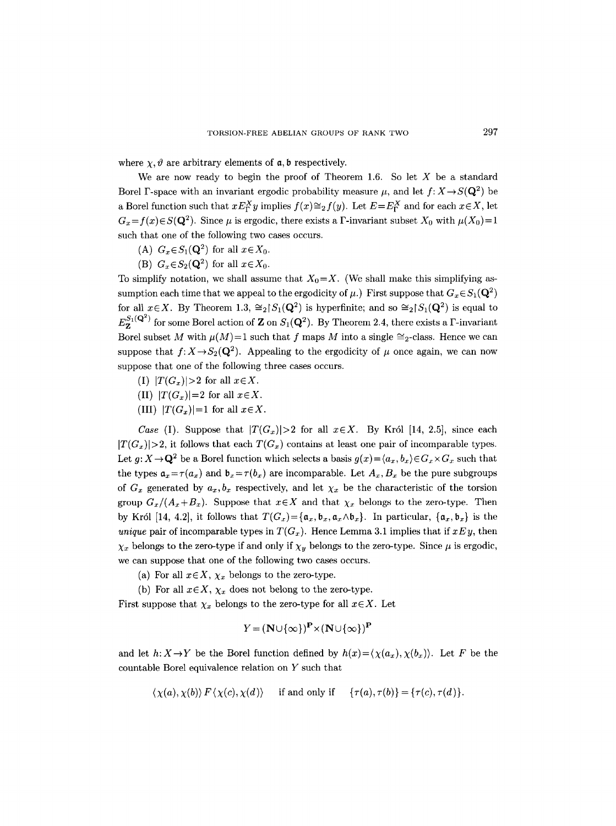where  $\chi$ ,  $\vartheta$  are arbitrary elements of  $a$ ,  $b$  respectively.

We are now ready to begin the proof of Theorem 1.6. So let  $X$  be a standard Borel F-space with an invariant ergodic probability measure  $\mu$ , and let  $f: X \rightarrow S(\mathbf{Q}^2)$  be a Borel function such that  $x E_{\Gamma}^X y$  implies  $f(x) \cong_2 f(y)$ . Let  $E = E_{\Gamma}^X$  and for each  $x \in X$ , let  $G_x = f(x) \in S(\mathbf{Q}^2)$ . Since  $\mu$  is ergodic, there exists a F-invariant subset  $X_0$  with  $\mu(X_0) = 1$ such that one of the following two cases occurs.

- (A)  $G_x \in S_1(\mathbf{Q}^2)$  for all  $x \in X_0$ .
- (B)  $G_x \in S_2(\mathbf{Q}^2)$  for all  $x \in X_0$ .

To simplify notation, we shall assume that  $X_0 = X$ . (We shall make this simplifying assumption each time that we appeal to the ergodicity of  $\mu$ .) First suppose that  $G_x \in S_1(\mathbf{Q}^2)$ for all  $x \in X$ . By Theorem 1.3,  $\cong_2 [S_1(Q^2)]$  is hyperfinite; and so  $\cong_2 [S_1(Q^2)]$  is equal to  $E_7^{S_1(Q^2)}$  for some Borel action of **Z** on  $S_1(Q^2)$ . By Theorem 2.4, there exists a F-invariant Borel subset M with  $\mu(M)=1$  such that f maps M into a single  $\cong_2$ -class. Hence we can suppose that  $f: X \to S_2(Q^2)$ . Appealing to the ergodicity of  $\mu$  once again, we can now suppose that one of the following three cases occurs.

- (I)  $|T(G_x)|>2$  for all  $x\in X$ .
- (II)  $|T(G_x)|=2$  for all  $x \in X$ .
- (III)  $|T(G_x)|=1$  for all  $x \in X$ .

*Case* (I). Suppose that  $|T(G_x)|>2$  for all  $x \in X$ . By Król [14, 2.5], since each  $|T(G_x)|>2$ , it follows that each  $T(G_x)$  contains at least one pair of incomparable types. Let  $g: X \to \mathbf{Q}^2$  be a Borel function which selects a basis  $g(x) = \langle a_x, b_x \rangle \in G_x \times G_x$  such that the types  $a_x = \tau(a_x)$  and  $b_x = \tau(b_x)$  are incomparable. Let  $A_x, B_x$  be the pure subgroups of  $G_x$  generated by  $a_x, b_x$  respectively, and let  $\chi_x$  be the characteristic of the torsion group  $G_x/(A_x+B_x)$ . Suppose that  $x \in X$  and that  $\chi_x$  belongs to the zero-type. Then by Król [14, 4.2], it follows that  $T(G_x) = {\mathfrak{a}_x, \mathfrak{b}_x, \mathfrak{a}_x \wedge \mathfrak{b}_x}$ . In particular,  ${\mathfrak{a}_x, \mathfrak{b}_x}$  is the *unique* pair of incomparable types in  $T(G_x)$ . Hence Lemma 3.1 implies that if  $xEy$ , then  $\chi_x$  belongs to the zero-type if and only if  $\chi_y$  belongs to the zero-type. Since  $\mu$  is ergodic, we can suppose that one of the following two cases occurs.

- (a) For all  $x \in X$ ,  $\chi_x$  belongs to the zero-type.
- (b) For all  $x \in X$ ,  $\chi_x$  does not belong to the zero-type.

First suppose that  $\chi_x$  belongs to the zero-type for all  $x \in X$ . Let

$$
Y = (\mathbf{N} \cup \{\infty\})^{\mathbf{P}} \times (\mathbf{N} \cup \{\infty\})^{\mathbf{P}}
$$

and let  $h: X \to Y$  be the Borel function defined by  $h(x) = \langle \chi(a_x), \chi(b_x) \rangle$ . Let F be the countable Borel equivalence relation on Y such that

$$
\langle \chi(a), \chi(b) \rangle \ F \langle \chi(c), \chi(d) \rangle \quad \text{ if and only if } \quad \{ \tau(a), \tau(b) \} = \{ \tau(c), \tau(d) \}.
$$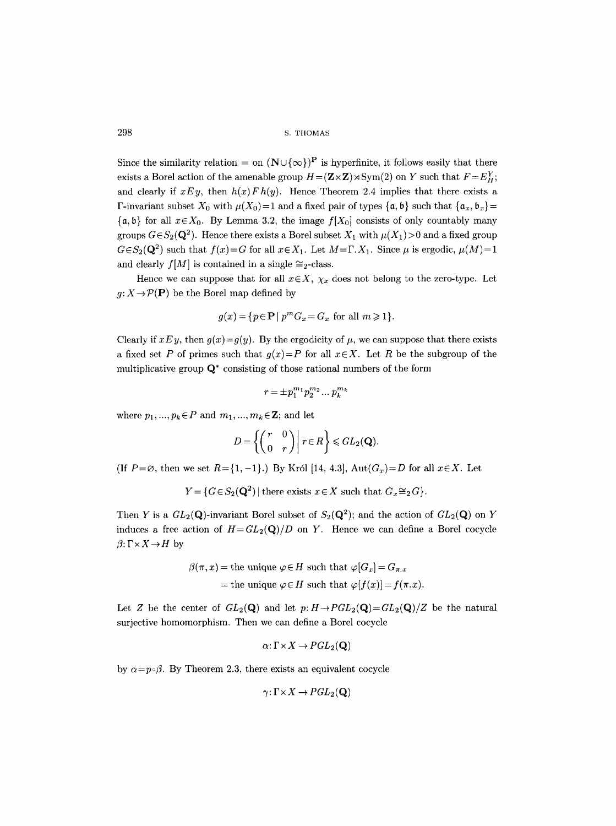Since the similarity relation  $\equiv$  on  $(N \cup {\{\infty\}})^P$  is hyperfinite, it follows easily that there exists a Borel action of the amenable group  $H = (\mathbf{Z} \times \mathbf{Z}) \rtimes \mathrm{Sym}(2)$  on Y such that  $F = E_H^Y$ ; and clearly if  $xEy$ , then  $h(x)Fh(y)$ . Hence Theorem 2.4 implies that there exists a F-invariant subset  $X_0$  with  $\mu(X_0)=1$  and a fixed pair of types  $\{\mathfrak{a}, \mathfrak{b}\}\$  such that  $\{\mathfrak{a}_x, \mathfrak{b}_x\}$ =  $\{a, b\}$  for all  $x \in X_0$ . By Lemma 3.2, the image  $f[X_0]$  consists of only countably many groups  $G \in S_2(Q^2)$ . Hence there exists a Borel subset  $X_1$  with  $\mu(X_1) > 0$  and a fixed group  $G \in S_2(Q^2)$  such that  $f(x) = G$  for all  $x \in X_1$ . Let  $M = \Gamma, X_1$ . Since  $\mu$  is ergodic,  $\mu(M) = 1$ and clearly  $f[M]$  is contained in a single  $\cong_2$ -class.

Hence we can suppose that for all  $x \in X$ ,  $\chi_x$  does not belong to the zero-type. Let  $g: X \to \mathcal{P}(\mathbf{P})$  be the Borel map defined by

$$
g(x) = \{ p \in \mathbf{P} \mid p^m G_x = G_x \text{ for all } m \geq 1 \}.
$$

Clearly if  $xEy$ , then  $g(x)=g(y)$ . By the ergodicity of  $\mu$ , we can suppose that there exists a fixed set P of primes such that  $g(x)=P$  for all  $x \in X$ . Let R be the subgroup of the multiplicative group  $\mathbf{Q}^*$  consisting of those rational numbers of the form

$$
r=\pm p_1^{m_1}p_2^{m_2}\ldots p_k^{m_k}
$$

where  $p_1, ..., p_k \in P$  and  $m_1, ..., m_k \in \mathbb{Z}$ ; and let

$$
D=\left\{\begin{pmatrix}r&0\\0&r\end{pmatrix}\bigg|\ r\in R\right\}\leqslant GL_2(\mathbf Q).
$$

(If  $P=\emptyset$ , then we set  $R=\{1,-1\}$ .) By Król [14, 4.3],  $Aut(G_x)=D$  for all  $x\in X$ . Let

 $Y = \{G \in S_2(\mathbf{Q}^2) \mid \text{there exists } x \in X \text{ such that } G_x \cong_2 G\}.$ 

Then Y is a  $GL_2(\mathbf{Q})$ -invariant Borel subset of  $S_2(\mathbf{Q}^2)$ ; and the action of  $GL_2(\mathbf{Q})$  on Y induces a free action of  $H = GL_2(Q)/D$  on Y. Hence we can define a Borel cocycle  $\beta: \Gamma \times X \rightarrow H$  by

$$
\beta(\pi, x) = \text{the unique } \varphi \in H \text{ such that } \varphi[G_x] = G_{\pi, x}
$$
  
= the unique  $\varphi \in H$  such that  $\varphi[f(x)] = f(\pi, x)$ .

Let Z be the center of  $GL_2(\mathbf{Q})$  and let  $p: H \to PGL_2(\mathbf{Q}) = GL_2(\mathbf{Q})/Z$  be the natural surjective homomorphism. Then we can define a Borel cocycle

$$
\alpha\colon\Gamma\!\times\!X\to\!PGL_2(\mathbf{Q})
$$

by  $\alpha = p \circ \beta$ . By Theorem 2.3, there exists an equivalent cocycle

$$
\gamma\colon \Gamma\!\times\! X\to\!PGL_2(\mathbf{Q})
$$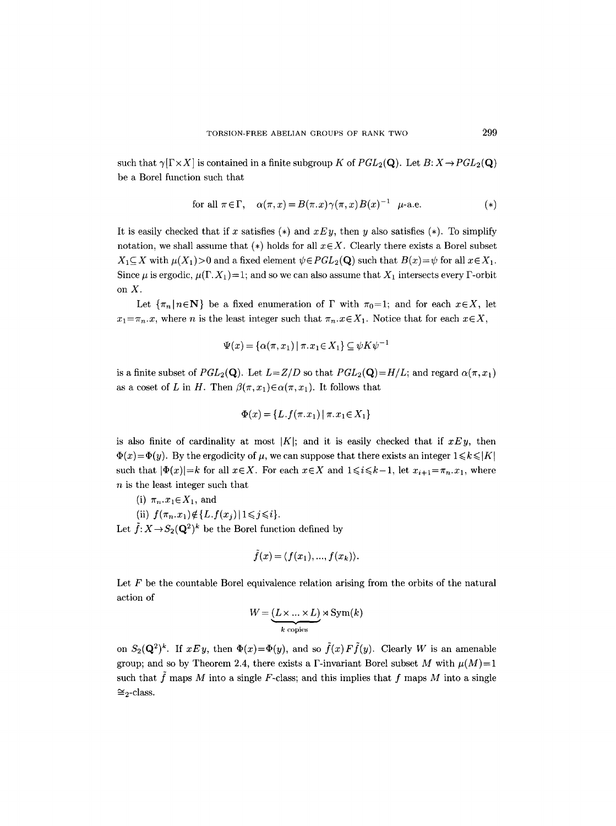such that  $\gamma[\Gamma \times X]$  is contained in a finite subgroup K of  $PGL_2(\mathbf{Q})$ . Let  $B: X \to PGL_2(\mathbf{Q})$ be a Borel function such that

for all 
$$
\pi \in \Gamma
$$
,  $\alpha(\pi, x) = B(\pi, x) \gamma(\pi, x) B(x)^{-1} \mu$ -a.e. (\*)

It is easily checked that if x satisfies (\*) and  $xEy$ , then y also satisfies (\*). To simplify notation, we shall assume that  $(*)$  holds for all  $x \in X$ . Clearly there exists a Borel subset  $X_1 \subseteq X$  with  $\mu(X_1) > 0$  and a fixed element  $\psi \in PGL_2(\mathbf{Q})$  such that  $B(x) = \psi$  for all  $x \in X_1$ . Since  $\mu$  is ergodic,  $\mu(\Gamma, X_1) = 1$ ; and so we can also assume that  $X_1$  intersects every  $\Gamma$ -orbit on X.

Let  $\{\pi_n | n \in \mathbb{N}\}\$  be a fixed enumeration of  $\Gamma$  with  $\pi_0=1$ ; and for each  $x \in X$ , let  $x_1 = \pi_n \cdot x$ , where *n* is the least integer such that  $\pi_n \cdot x \in X_1$ . Notice that for each  $x \in X$ ,

$$
\Psi(x) = \{ \alpha(\pi, x_1) \mid \pi x_1 \in X_1 \} \subseteq \psi K \psi^{-1}
$$

is a finite subset of  $PGL_2(\mathbf{Q})$ . Let  $L = Z/D$  so that  $PGL_2(\mathbf{Q}) = H/L$ ; and regard  $\alpha(\pi, x_1)$ as a coset of L in H. Then  $\beta(\pi, x_1) \in \alpha(\pi, x_1)$ . It follows that

$$
\Phi(x) = \{L.f(\pi.x_1) | \pi.x_1 \in X_1\}
$$

is also finite of cardinality at most  $|K|$ ; and it is easily checked that if  $xEy$ , then  $\Phi(x) = \Phi(y)$ . By the ergodicity of  $\mu$ , we can suppose that there exists an integer  $1 \leq k \leq |K|$ such that  $|\Phi(x)| = k$  for all  $x \in X$ . For each  $x \in X$  and  $1 \leq i \leq k-1$ , let  $x_{i+1} = \pi_n, x_1$ , where  $n$  is the least integer such that

- (i)  $\pi_n.x_1 \in X_1$ , and
- (ii)  $f(\pi_n, x_1) \notin \{L.f(x_j) | 1 \leq j \leq i \}.$

Let  $\tilde{f}: X \to S_2(\mathbf{Q}^2)^k$  be the Borel function defined by

$$
\tilde{f}(x) = \langle f(x_1), ..., f(x_k) \rangle.
$$

Let  $F$  be the countable Borel equivalence relation arising from the orbits of the natural action of

$$
W = \underbrace{(L \times \ldots \times L)}_{k \text{ copies}} \rtimes \text{Sym}(k)
$$

on  $S_2(\mathbf{Q}^2)^k$ . If  $xEy$ , then  $\Phi(x)=\Phi(y)$ , and so  $\tilde{f}(x)F\tilde{f}(y)$ . Clearly W is an amenable group; and so by Theorem 2.4, there exists a F-invariant Borel subset M with  $\mu(M)=1$ such that  $\tilde{f}$  maps M into a single F-class; and this implies that f maps M into a single  $\cong$ <sub>2</sub>-class.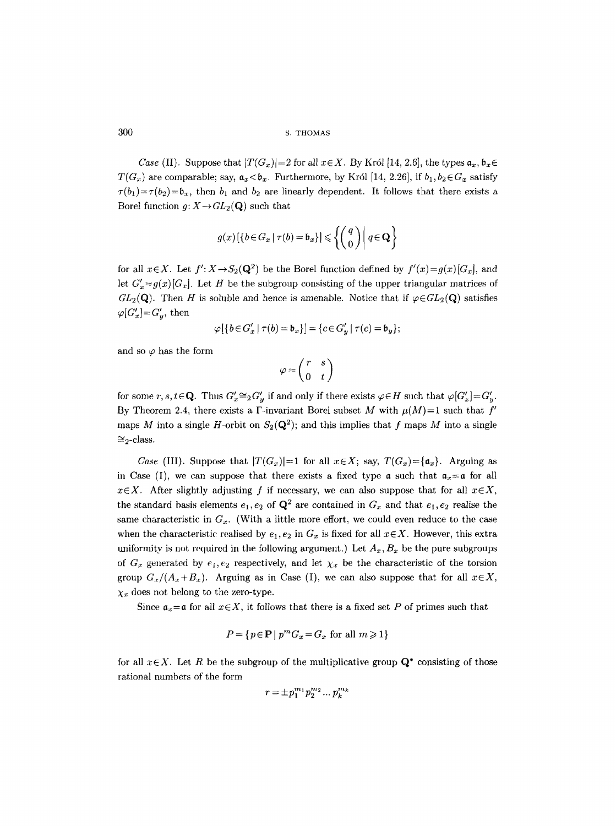*Case* (II). Suppose that  $|T(G_x)|=2$  for all  $x \in X$ . By Król [14, 2.6], the types  $a_x, b_x \in$  $T(G_x)$  are comparable; say,  $a_x < b_x$ . Furthermore, by Król [14, 2.26], if  $b_1, b_2 \in G_x$  satisfy  $\tau(b_1)=\tau(b_2)=\mathfrak{b}_x$ , then  $b_1$  and  $b_2$  are linearly dependent. It follows that there exists a Boret function  $g: X \to GL_2(Q)$  such that

$$
g(x)\left[\left\{b \in G_x \mid \tau(b) = \mathfrak{b}_x\right\}\right] \leq \left\{ \begin{pmatrix} q \\ 0 \end{pmatrix} \middle| \ q \in \mathbf{Q} \right\}
$$

for all  $x \in X$ . Let  $f': X \rightarrow S_2(Q^2)$  be the Borel function defined by  $f'(x) = g(x)[G_x]$ , and let  $G'_x = g(x)[G_x]$ . Let H be the subgroup consisting of the upper triangular matrices of  $GL_2(\mathbf{Q})$ . Then H is soluble and hence is amenable. Notice that if  $\varphi \in GL_2(\mathbf{Q})$  satisfies  $\varphi[G'_x]=G'_y$ , then

$$
\varphi\left[\left\{b\in G'_x\mid \tau(b)=\mathfrak{b}_x\right\}\right]=\left\{c\in G'_y\mid \tau(c)=\mathfrak{b}_y\right\};
$$

and so  $\varphi$  has the form

$$
\varphi = \left( \begin{matrix} r & s \\ 0 & t \end{matrix} \right)
$$

for some r, s,  $t \in \mathbf{Q}$ . Thus  $G'_x \cong_2 G'_y$  if and only if there exists  $\varphi \in H$  such that  $\varphi[G'_x]=G'_y$ . By Theorem 2.4, there exists a  $\Gamma$ -invariant Borel subset M with  $\mu(M)=1$  such that  $f'$ maps M into a single H-orbit on  $S_2(Q^2)$ ; and this implies that f maps M into a single  $\cong$ <sub>2</sub>-class.

*Case* (III). Suppose that  $|T(G_x)|=1$  for all  $x \in X$ ; say,  $T(G_x)=\{a_x\}$ . Arguing as in Case (I), we can suppose that there exists a fixed type  $\alpha$  such that  $\alpha_x = \alpha$  for all  $x \in X$ . After slightly adjusting f if necessary, we can also suppose that for all  $x \in X$ , the standard basis elements  $e_1, e_2$  of  $\mathbf{Q}^2$  are contained in  $G_x$  and that  $e_1, e_2$  realise the same characteristic in  $G_x$ . (With a little more effort, we could even reduce to the case when the characteristic realised by  $e_1, e_2$  in  $G_x$  is fixed for all  $x \in X$ . However, this extra uniformity is not required in the following argument.) Let  $A_x, B_x$  be the pure subgroups of  $G_x$  generated by  $e_1, e_2$  respectively, and let  $\chi_x$  be the characteristic of the torsion group  $G_x/(A_x+B_x)$ . Arguing as in Case (I), we can also suppose that for all  $x \in X$ ,  $\chi_x$  does not belong to the zero-type.

Since  $a_x = a$  for all  $x \in X$ , it follows that there is a fixed set P of primes such that

$$
P = \{ p \in \mathbf{P} \mid p^m G_x = G_x \text{ for all } m \geq 1 \}
$$

for all  $x \in X$ . Let R be the subgroup of the multiplicative group  $\mathbf{Q}^*$  consisting of those rational numbers of the form

$$
r=\pm p_1^{m_1}p_2^{m_2}\dots p_k^{m_k}
$$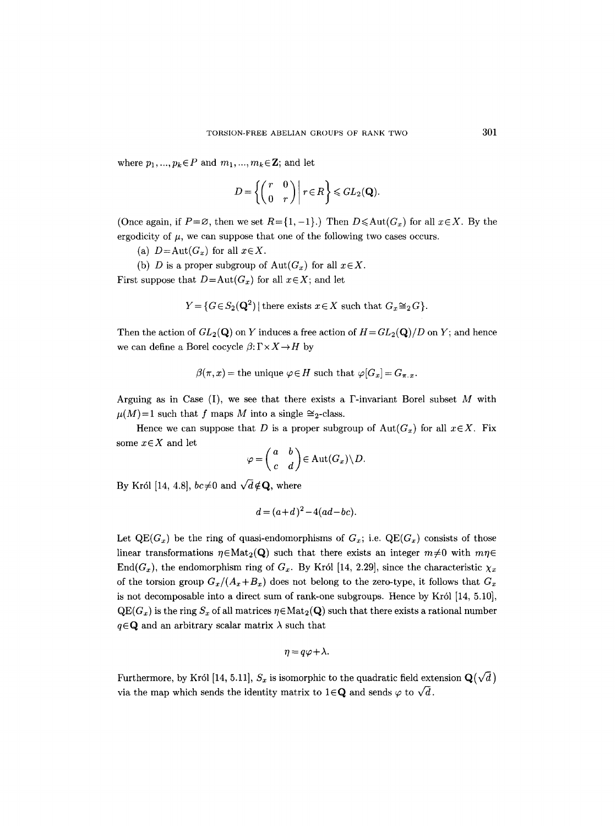where  $p_1, ..., p_k \in P$  and  $m_1, ..., m_k \in \mathbb{Z}$ ; and let

$$
D = \left\{ \begin{pmatrix} r & 0 \\ 0 & r \end{pmatrix} \middle| r \in R \right\} \leqslant GL_2(\mathbf{Q})
$$

(Once again, if  $P=\emptyset$ , then we set  $R=\{1,-1\}$ .) Then  $D\leqslant \text{Aut}(G_x)$  for all  $x\in X$ . By the ergodicity of  $\mu$ , we can suppose that one of the following two cases occurs.

- (a)  $D = \text{Aut}(G_x)$  for all  $x \in X$ .
- (b) D is a proper subgroup of  $Aut(G_x)$  for all  $x \in X$ .

First suppose that  $D = Aut(G_x)$  for all  $x \in X$ ; and let

$$
Y = \{ G \in S_2(\mathbf{Q}^2) \mid \text{there exists } x \in X \text{ such that } G_x \cong_2 G \}.
$$

Then the action of  $GL_2(\mathbf{Q})$  on Y induces a free action of  $H=GL_2(\mathbf{Q})/D$  on Y; and hence we can define a Borel cocycle  $\beta: \Gamma \times X \rightarrow H$  by

$$
\beta(\pi, x) = \text{the unique } \varphi \in H \text{ such that } \varphi[G_x] = G_{\pi, x}.
$$

Arguing as in Case (I), we see that there exists a  $\Gamma$ -invariant Borel subset M with  $\mu(M)=1$  such that f maps M into a single  $\cong_2$ -class.

Hence we can suppose that D is a proper subgroup of  $Aut(G_x)$  for all  $x \in X$ . Fix some  $x \in X$  and let

$$
\varphi = \begin{pmatrix} a & b \\ c & d \end{pmatrix} \in \text{Aut}(G_x) \backslash D.
$$

By Król [14, 4.8],  $bc \neq 0$  and  $\sqrt{d} \notin \mathbf{Q}$ , where

$$
d = (a+d)^2 - 4(ad-bc).
$$

Let  $QE(G_x)$  be the ring of quasi-endomorphisms of  $G_x$ ; i.e.  $QE(G_x)$  consists of those linear transformations  $\eta \in Mat_2(Q)$  such that there exists an integer  $m \neq 0$  with  $mn \in$ End( $G_x$ ), the endomorphism ring of  $G_x$ . By Król [14, 2.29], since the characteristic  $\chi_x$ of the torsion group  $G_x/(A_x+B_x)$  does not belong to the zero-type, it follows that  $G_x$ is not decomposable into a direct sum of rank-one subgroups. Hence by Król [14, 5.10],  $\text{QE}(G_x)$  is the ring  $S_x$  of all matrices  $\eta \in \text{Mat}_2(\textbf{Q})$  such that there exists a rational number  $q \in \mathbf{Q}$  and an arbitrary scalar matrix  $\lambda$  such that

$$
\eta = q\varphi + \lambda.
$$

Furthermore, by Król [14, 5.11],  $S_x$  is isomorphic to the quadratic field extension  $\mathbf{Q}(\sqrt{d})$ via the map which sends the identity matrix to  $1 \in \mathbb{Q}$  and sends  $\varphi$  to  $\sqrt{d}$ .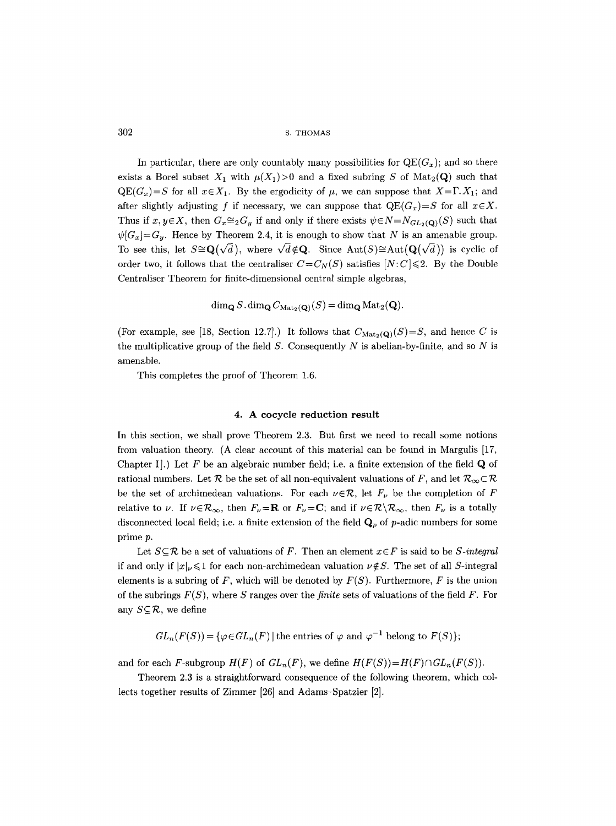In particular, there are only countably many possibilities for  $\text{QE}(G_x)$ ; and so there exists a Borel subset  $X_1$  with  $\mu(X_1) > 0$  and a fixed subring S of Mat<sub>2</sub>(Q) such that  $QE(G_x)=S$  for all  $x \in X_1$ . By the ergodicity of  $\mu$ , we can suppose that  $X=\Gamma$ .  $X_1$ ; and after slightly adjusting f if necessary, we can suppose that  $QE(G_x)=S$  for all  $x \in X$ . Thus if  $x, y \in X$ , then  $G_x \cong_2 G_y$  if and only if there exists  $\psi \in N = N_{GL_2(Q)}(S)$  such that  $\psi[G_x]=G_y$ . Hence by Theorem 2.4, it is enough to show that N is an amenable group. To see this, let  $S \cong \mathbf{Q}(\sqrt{d})$ , where  $\sqrt{d} \notin \mathbf{Q}$ . Since  $\text{Aut}(S) \cong \text{Aut}(\mathbf{Q}(\sqrt{d}))$  is cyclic of order two, it follows that the centraliser  $C=C_N(S)$  satisfies  $[N:C] \leq 2$ . By the Double Centraliser Theorem for finite-dimensional central simple algebras,

$$
\dim_{\mathbf{Q}} S.\dim_{\mathbf{Q}} C_{\mathrm{Mat}_2(\mathbf{Q})}(S) = \dim_{\mathbf{Q}} \mathrm{Mat}_2(\mathbf{Q}).
$$

(For example, see [18, Section 12.7].) It follows that  $C_{\text{Mat}_2(Q)}(S)=S$ , and hence C is the multiplicative group of the field  $S$ . Consequently  $N$  is abelian-by-finite, and so  $N$  is amenable.

This completes the proof of Theorem 1.6.

#### **4. A cocycle reduction result**

In this section, we shall prove Theorem 2.3. But first we need to recall some notions from valuation theory. (A clear account of this material can be found in Margulis [17, Chapter I.) Let  $F$  be an algebraic number field; i.e. a finite extension of the field  $\bf{Q}$  of rational numbers. Let R be the set of all non-equivalent valuations of F, and let  $\mathcal{R}_{\infty} \subset \mathcal{R}$ be the set of archimedean valuations. For each  $\nu \in \mathcal{R}$ , let  $F_{\nu}$  be the completion of F relative to v. If  $\nu \in \mathcal{R}_{\infty}$ , then  $F_{\nu}=\mathbf{R}$  or  $F_{\nu}=\mathbf{C}$ ; and if  $\nu \in \mathcal{R}\setminus\mathcal{R}_{\infty}$ , then  $F_{\nu}$  is a totally disconnected local field; i.e. a finite extension of the field  $\mathbf{Q}_p$  of p-adic numbers for some prime p.

Let  $S \subseteq \mathcal{R}$  be a set of valuations of F. Then an element  $x \in F$  is said to be *S-integral* if and only if  $|x|_v \leq 1$  for each non-archimedean valuation  $\nu \notin S$ . The set of all S-integral elements is a subring of F, which will be denoted by  $F(S)$ . Furthermore, F is the union of the subrings *F(S),* where S ranges over the *finite* sets of valuations of the field F. For any  $S \subseteq \mathcal{R}$ , we define

 $GL_n(F(S)) = {\{\varphi \in GL_n(F) \mid \text{the entries of } \varphi \text{ and } \varphi^{-1} \text{ belong to } F(S) \}};$ 

and for each F-subgroup  $H(F)$  of  $GL_n(F)$ , we define  $H(F(S))=H(F)\cap GL_n(F(S))$ .

Theorem 2.3 is a straightforward consequence of the following theorem, which collects together results of Zimmer [26] and Adams-Spatzier [2].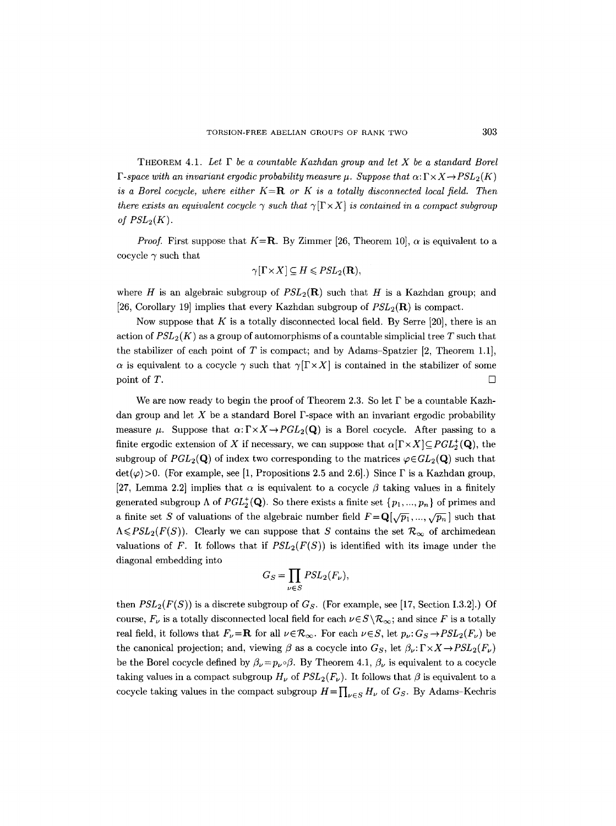THEOREM 4.1. *Let F be a countable Kazhdan group and let X be a standard Borel F-space with an invariant ergodic probability measure*  $\mu$ *. Suppose that*  $\alpha: \Gamma \times X \rightarrow PSL_2(K)$ *is a Borel cocycle, where either*  $K = \mathbb{R}$  *or K is a totally disconnected local field. Then there exists an equivalent cocycle*  $\gamma$  *such that*  $\gamma$ [ $\Gamma \times X$ ] *is contained in a compact subgroup of*  $PSL_2(K)$ *.* 

*Proof.* First suppose that  $K = \mathbb{R}$ . By Zimmer [26, Theorem 10],  $\alpha$  is equivalent to a cocycle  $\gamma$  such that

$$
\gamma[\Gamma \times X] \subseteq H \leqslant PSL_2(\mathbf{R}),
$$

where H is an algebraic subgroup of  $PSL_2(\mathbf{R})$  such that H is a Kazhdan group; and [26, Corollary 19] implies that every Kazhdan subgroup of *PSL2(R)* is compact.

Now suppose that K is a totally disconnected local field. By Serre [20], there is an action of  $PSL_2(K)$  as a group of automorphisms of a countable simplicial tree T such that the stabilizer of each point of  $T$  is compact; and by Adams-Spatzier [2, Theorem 1.1],  $\alpha$  is equivalent to a cocycle  $\gamma$  such that  $\gamma[\Gamma \times X]$  is contained in the stabilizer of some point of T.

We are now ready to begin the proof of Theorem 2.3. So let  $\Gamma$  be a countable Kazhdan group and let  $X$  be a standard Borel  $\Gamma$ -space with an invariant ergodic probability measure  $\mu$ . Suppose that  $\alpha: \Gamma \times X \rightarrow PGL_2(Q)$  is a Borel cocycle. After passing to a finite ergodic extension of X if necessary, we can suppose that  $\alpha[\Gamma \times X] \subseteq PGL_2^+(\mathbf{Q})$ , the subgroup of  $PGL_2(Q)$  of index two corresponding to the matrices  $\varphi \in GL_2(Q)$  such that  $\det(\varphi)$ >0. (For example, see [1, Propositions 2.5 and 2.6].) Since  $\Gamma$  is a Kazhdan group, [27, Lemma 2.2] implies that  $\alpha$  is equivalent to a cocycle  $\beta$  taking values in a finitely generated subgroup  $\Lambda$  of  $PGL_2^+(\mathbf{Q})$ . So there exists a finite set  $\{p_1, ..., p_n\}$  of primes and a finite set S of valuations of the algebraic number field  $F=Q[\sqrt{p_1},...,\sqrt{p_n}]$  such that  $A\leq PSL_2(F(S))$ . Clearly we can suppose that S contains the set  $\mathcal{R}_{\infty}$  of archimedean valuations of F. It follows that if  $PSL_2(F(S))$  is identified with its image under the diagonal embedding into

$$
G_S = \prod_{\nu \in S} PSL_2(F_{\nu}),
$$

then  $PSL_2(F(S))$  is a discrete subgroup of  $G_S$ . (For example, see [17, Section 1.3.2].) Of course,  $F_{\nu}$  is a totally disconnected local field for each  $\nu \in S \setminus \mathcal{R}_{\infty}$ ; and since F is a totally real field, it follows that  $F_{\nu}=\mathbf{R}$  for all  $\nu \in \mathcal{R}_{\infty}$ . For each  $\nu \in S$ , let  $p_{\nu}$ :  $G_S \rightarrow PSL_2(F_{\nu})$  be the canonical projection; and, viewing  $\beta$  as a cocycle into  $G_S$ , let  $\beta_{\nu}:\Gamma \times X \to PSL_2(F_{\nu})$ be the Borel cocycle defined by  $\beta_{\nu}=p_{\nu}\circ\beta$ . By Theorem 4.1,  $\beta_{\nu}$  is equivalent to a cocycle taking values in a compact subgroup  $H_{\nu}$  of  $PSL_2(F_{\nu})$ . It follows that  $\beta$  is equivalent to a cocycle taking values in the compact subgroup  $H=\prod_{\nu\in S} H_{\nu}$  of  $G_S$ . By Adams-Kechris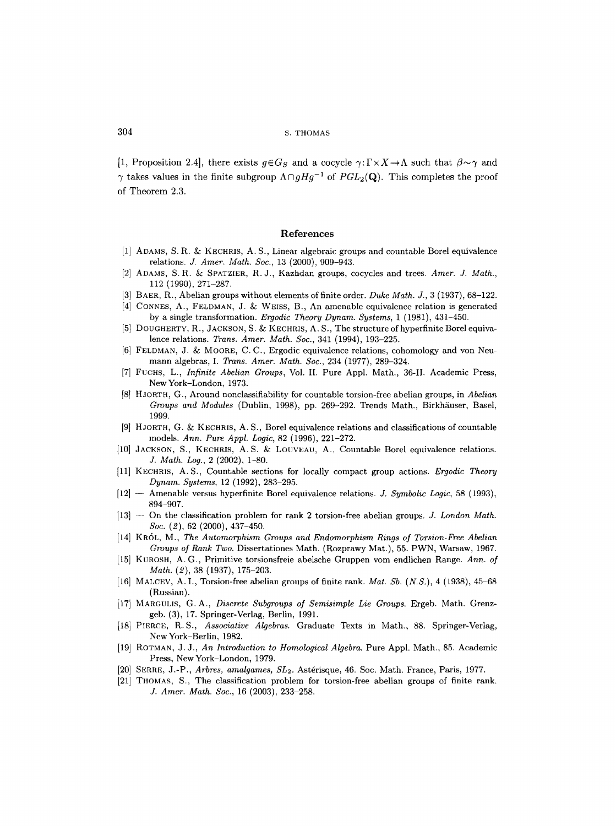[1, Proposition 2.4], there exists  $g \in G_S$  and a cocycle  $\gamma: \Gamma \times X \to \Lambda$  such that  $\beta \sim \gamma$  and  $\gamma$  takes values in the finite subgroup  $\Lambda \cap gHg^{-1}$  of  $PGL_2(\mathbf{Q})$ . This completes the proof of Theorem 2.3.

# References

- [1] ADAMS, S.R. & KECHRIS, A. S., Linear algebraic groups and countable Borel equivalence relations. *J. Amer. Math. Soc.,* 13 (2000), 909-943.
- [2] ADAMS, S.R. & SPATZIER, R.J., Kazhdan groups, cocycles and trees. *Amer. J. Math.,*  112 (1990), 271-287.
- [3] BAER, R., Abelian groups without elements of finite order. *Duke Math.* Y., 3 (1937), 68-122.
- $[4]$  CONNES, A., FELDMAN, J. & WEISS, B., An amenable equivalence relation is generated by a single transformation. *Ergodic Theory Dynam. Systems,* 1 (1981), 431-450.
- [5] DOUGHERTY, R., JACKSON, S. & KECHRIS, A. S., The structure of hyperfinite Borel equivalence relations. *Trans. Amer. Math. Soc.,* 341 (1994), 193-225.
- [6] FELDMAN, J. & MOORE, C.C., Ergodic equivalence relations, cohomology and von Neumann algebras, I. *Trans. Amer. Math. Soc.,* 234 (1977), 289-324.
- [7] FUCHS, L., *Infinite Abelian Groups,* Vol. II. Pure Appl. Math., 36-1I. Academic Press, New York-London, 1973.
- [8] HJORTH, G., Around nonelassifiability for countable torsion-free abelian groups, in *Abelian Groups and Modules* (Dublin, 1998), pp. 269-292. Trends Math., Birkhäuser, Basel, 1999.
- [9] HJORTH, G. & KECHRIS, A. S., Borel equivalence relations and classifications of countable models. *Ann. Pure Appl. Logic,* 82 (1996), 221-272.
- [10] JACKSON, S., KECHRIS, A.S. & LOUVEAU, A., Countable Borel equivalence relations. *,L Math. Log.,* 2 (2002), 1-80.
- [11] KECHRIS, A.S., Countable sections for locally compact group actions. *Ergodic Theory Dynam. Systems, 12 (1992), 283-295.*
- [12] -- Amenable versus hyperfinite Borel equivalence relations. *Y. Symbolic Logic,* 58 (1993), 894-907.
- [13] -- On the classification problem for rank 2 torsion-free abelian groups. *J. London Math. Soc. (2),* 62 (2000), 437-450.
- [14] KR6L, M., *The Automorphism Groups and Endomorphism Rings of Torsion-Free Abelian Groups of Rank Two.* Dissertationes Math. (Rozprawy Mat.), 55. PWN, Warsaw, 1967.
- [15] KUROSH, A.G., Primitive torsionsfreie abelsche Gruppen vom endlichen Range. *Ann. of Math. (2),* 38 (1937), 175-203.
- [16] MALCEV, A. 1., Torsion-free abelian groups of finite rank. *Mat. Sb. (N.S.),* 4 (1938), 45-68 (Russian).
- [17] MARGULIS, G.A., *Discrete Subgroups of Semisimple Lie Groups.* Ergeb. Math. Grenzgeb. (3), 17. Springer-Verlag, Berlin, 1991.
- [18] PIERCE, R.S., *Associative Algebras.* Graduate Texts in Math., 88. Springer-Verlag, New York-Berlin, 1982.
- [19] ROTMAN, J. J., *An Introduction to Homological Algebra.* Pure Appl. Math., 85. Academic Press, NewYork-London, 1979.
- [20] SERRE, J.-P., *Arbres, amalgames, SL*<sub>2</sub>. Astérisque, 46. Soc. Math. France, Paris, 1977.
- [21] THOMAS, S., The classification problem for torsion-free abelian groups of fnite rank. *J. Amer. Math. Soc.,* 16 (2003), 233-258.